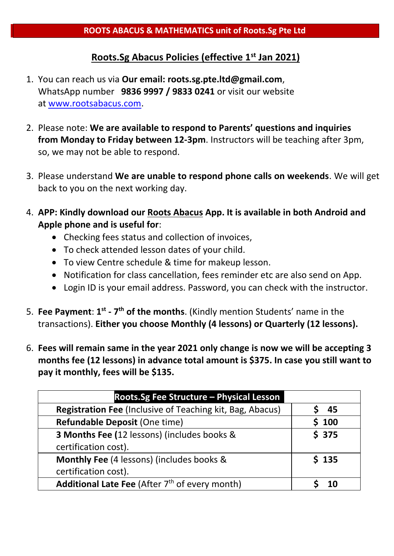## **Roots.Sg Abacus Policies (effective 1st Jan 2021)**

- 1. You can reach us via **Our email: roots.sg.pte.ltd@gmail.com**, WhatsApp number **9836 9997 / 9833 0241** or visit our website at [www.rootsabacus.com.](http://www.rootsabacus.com/)
- 2. Please note: **We are available to respond to Parents' questions and inquiries from Monday to Friday between 12-3pm**. Instructors will be teaching after 3pm, so, we may not be able to respond.
- 3. Please understand **We are unable to respond phone calls on weekends**. We will get back to you on the next working day.
- 4. **APP: Kindly download our Roots Abacus App. It is available in both Android and Apple phone and is useful for**:
	- Checking fees status and collection of invoices,
	- To check attended lesson dates of your child.
	- To view Centre schedule & time for makeup lesson.
	- Notification for class cancellation, fees reminder etc are also send on App.
	- Login ID is your email address. Password, you can check with the instructor.
- 5. Fee Payment: 1<sup>st</sup> 7<sup>th</sup> of the months. (Kindly mention Students' name in the transactions). **Either you choose Monthly (4 lessons) or Quarterly (12 lessons).**
- 6. **Fees will remain same in the year 2021 only change is now we will be accepting 3 months fee (12 lessons) in advance total amount is \$375. In case you still want to pay it monthly, fees will be \$135.**

| Roots.Sg Fee Structure - Physical Lesson                         |       |
|------------------------------------------------------------------|-------|
| <b>Registration Fee (Inclusive of Teaching kit, Bag, Abacus)</b> | 45    |
| Refundable Deposit (One time)                                    | 100   |
| 3 Months Fee (12 lessons) (includes books &                      | \$375 |
| certification cost).                                             |       |
| Monthly Fee (4 lessons) (includes books &                        | 5.135 |
| certification cost).                                             |       |
| Additional Late Fee (After 7 <sup>th</sup> of every month)       |       |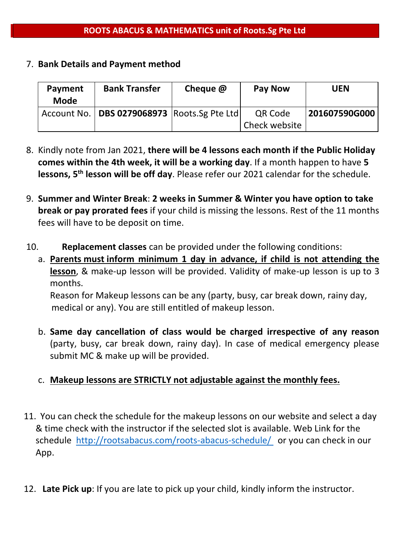#### 7. **Bank Details and Payment method**

| Payment<br>Mode | <b>Bank Transfer</b>                            | Cheque @ | <b>Pay Now</b>           | <b>UEN</b>    |
|-----------------|-------------------------------------------------|----------|--------------------------|---------------|
|                 | Account No.   DBS 0279068973   Roots.Sg Pte Ltd |          | QR Code<br>Check website | 201607590G000 |

- 8. Kindly note from Jan 2021, **there will be 4 lessons each month if the Public Holiday comes within the 4th week, it will be a working day**. If a month happen to have **5 lessons, 5th lesson will be off day**. Please refer our 2021 calendar for the schedule.
- 9. **Summer and Winter Break**: **2 weeks in Summer & Winter you have option to take break or pay prorated fees** if your child is missing the lessons. Rest of the 11 months fees will have to be deposit on time.
- 10. **Replacement classes** can be provided under the following conditions:
	- a. **Parents must inform minimum 1 day in advance, if child is not attending the lesson**, & make-up lesson will be provided. Validity of make-up lesson is up to 3 months.

Reason for Makeup lessons can be any (party, busy, car break down, rainy day, medical or any). You are still entitled of makeup lesson.

b. **Same day cancellation of class would be charged irrespective of any reason**  (party, busy, car break down, rainy day). In case of medical emergency please submit MC & make up will be provided.

## c. **Makeup lessons are STRICTLY not adjustable against the monthly fees.**

- 11. You can check the schedule for the makeup lessons on our website and select a day & time check with the instructor if the selected slot is available. Web Link for the schedule <http://rootsabacus.com/roots-abacus-schedule/> or you can check in our App.
- 12. **Late Pick up**: If you are late to pick up your child, kindly inform the instructor.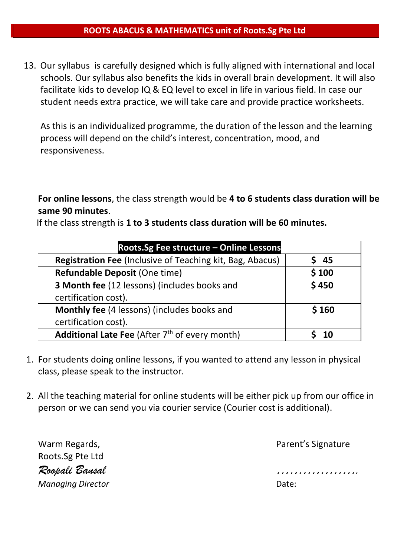#### **ROOTS ABACUS & MATHEMATICS unit of Roots.Sg Pte Ltd**

13. Our syllabus is carefully designed which is fully aligned with international and local schools. Our syllabus also benefits the kids in overall brain development. It will also facilitate kids to develop IQ & EQ level to excel in life in various field. In case our student needs extra practice, we will take care and provide practice worksheets.

As this is an individualized programme, the duration of the lesson and the learning process will depend on the child's interest, concentration, mood, and responsiveness.

**For online lessons**, the class strength would be **4 to 6 students class duration will be same 90 minutes**.

If the class strength is **1 to 3 students class duration will be 60 minutes.**

| Roots.Sg Fee structure - Online Lessons                          |       |  |  |
|------------------------------------------------------------------|-------|--|--|
| <b>Registration Fee (Inclusive of Teaching kit, Bag, Abacus)</b> | - 45  |  |  |
| Refundable Deposit (One time)                                    | \$100 |  |  |
| <b>3 Month fee (12 lessons) (includes books and</b>              | \$450 |  |  |
| certification cost).                                             |       |  |  |
| Monthly fee (4 lessons) (includes books and                      | \$160 |  |  |
| certification cost).                                             |       |  |  |
| Additional Late Fee (After 7 <sup>th</sup> of every month)       | ่ 10  |  |  |

- 1. For students doing online lessons, if you wanted to attend any lesson in physical class, please speak to the instructor.
- 2. All the teaching material for online students will be either pick up from our office in person or we can send you via courier service (Courier cost is additional).

| Warm Regards,            | Parent's Signature  |
|--------------------------|---------------------|
| Roots.Sg Pte Ltd         |                     |
| Roopali Bansal           | ,,,,,,,,,,,,,,,,,,, |
| <b>Managing Director</b> | Date:               |